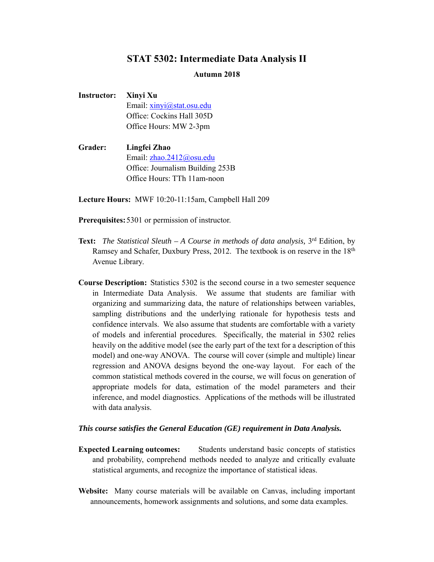## **STAT 5302: Intermediate Data Analysis II**

## **Autumn 2018**

**Instructor: Xinyi Xu** Email: xinyi@stat.osu.edu Office: Cockins Hall 305D Office Hours: MW 2-3pm

**Grader: Lingfei Zhao**  Email: zhao.2412@osu.edu Office: Journalism Building 253B Office Hours: TTh 11am-noon

**Lecture Hours:** MWF 10:20-11:15am, Campbell Hall 209

**Prerequisites:** 5301 or permission of instructor.

- **Text:** *The Statistical Sleuth A Course in methods of data analysis,* 3rd Edition, by Ramsey and Schafer, Duxbury Press, 2012. The textbook is on reserve in the 18<sup>th</sup> Avenue Library.
- **Course Description:** Statistics 5302 is the second course in a two semester sequence in Intermediate Data Analysis. We assume that students are familiar with organizing and summarizing data, the nature of relationships between variables, sampling distributions and the underlying rationale for hypothesis tests and confidence intervals. We also assume that students are comfortable with a variety of models and inferential procedures. Specifically, the material in 5302 relies heavily on the additive model (see the early part of the text for a description of this model) and one-way ANOVA. The course will cover (simple and multiple) linear regression and ANOVA designs beyond the one-way layout. For each of the common statistical methods covered in the course, we will focus on generation of appropriate models for data, estimation of the model parameters and their inference, and model diagnostics. Applications of the methods will be illustrated with data analysis.

## *This course satisfies the General Education (GE) requirement in Data Analysis.*

- **Expected Learning outcomes:** Students understand basic concepts of statistics and probability, comprehend methods needed to analyze and critically evaluate statistical arguments, and recognize the importance of statistical ideas.
- **Website:** Many course materials will be available on Canvas, including important announcements, homework assignments and solutions, and some data examples.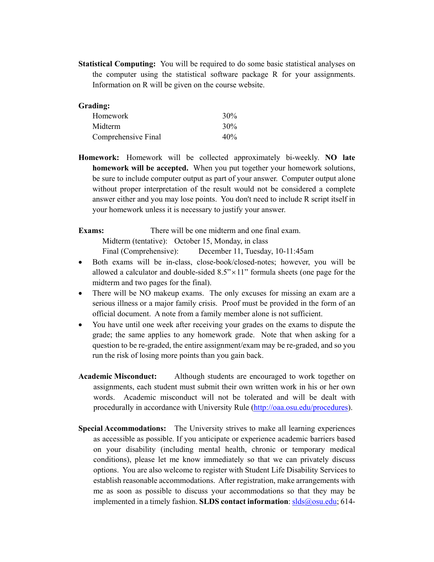**Statistical Computing:** You will be required to do some basic statistical analyses on the computer using the statistical software package R for your assignments. Information on R will be given on the course website.

| Grading:            |     |
|---------------------|-----|
| <b>Homework</b>     | 30% |
| Midterm             | 30% |
| Comprehensive Final | 40% |

**Homework:** Homework will be collected approximately bi-weekly. **NO late homework will be accepted.** When you put together your homework solutions, be sure to include computer output as part of your answer. Computer output alone without proper interpretation of the result would not be considered a complete answer either and you may lose points. You don't need to include R script itself in your homework unless it is necessary to justify your answer.

**Exams:** There will be one midterm and one final exam.

Midterm (tentative): October 15, Monday, in class

Final (Comprehensive): December 11, Tuesday, 10-11:45am

- Both exams will be in-class, close-book/closed-notes; however, you will be allowed a calculator and double-sided  $8.5" \times 11"$  formula sheets (one page for the midterm and two pages for the final).
- There will be NO makeup exams. The only excuses for missing an exam are a serious illness or a major family crisis. Proof must be provided in the form of an official document. A note from a family member alone is not sufficient.
- You have until one week after receiving your grades on the exams to dispute the grade; the same applies to any homework grade. Note that when asking for a question to be re-graded, the entire assignment/exam may be re-graded, and so you run the risk of losing more points than you gain back.
- **Academic Misconduct:** Although students are encouraged to work together on assignments, each student must submit their own written work in his or her own words. Academic misconduct will not be tolerated and will be dealt with procedurally in accordance with University Rule (http://oaa.osu.edu/procedures).
- **Special Accommodations:** The University strives to make all learning experiences as accessible as possible. If you anticipate or experience academic barriers based on your disability (including mental health, chronic or temporary medical conditions), please let me know immediately so that we can privately discuss options. You are also welcome to register with Student Life Disability Services to establish reasonable accommodations. After registration, make arrangements with me as soon as possible to discuss your accommodations so that they may be implemented in a timely fashion. **SLDS contact information**: **slds**@osu.edu; 614-